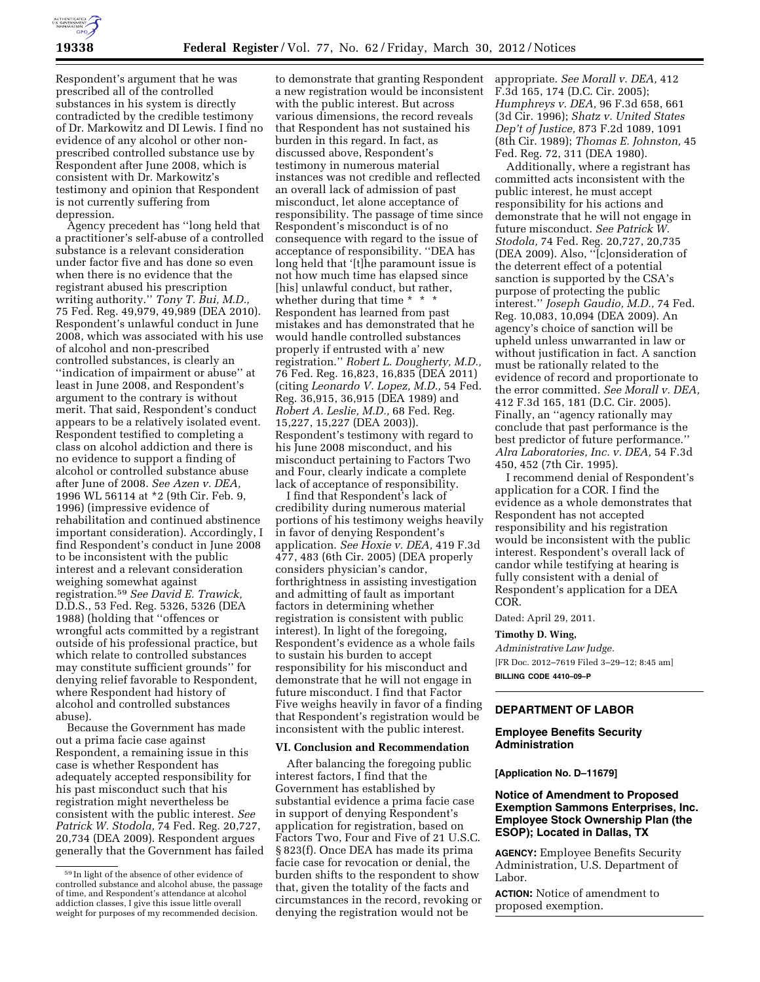

Respondent's argument that he was prescribed all of the controlled substances in his system is directly contradicted by the credible testimony of Dr. Markowitz and DI Lewis. I find no evidence of any alcohol or other nonprescribed controlled substance use by Respondent after June 2008, which is consistent with Dr. Markowitz's testimony and opinion that Respondent is not currently suffering from depression.

Agency precedent has ''long held that a practitioner's self-abuse of a controlled substance is a relevant consideration under factor five and has done so even when there is no evidence that the registrant abused his prescription writing authority.'' *Tony T. Bui, M.D.,*  75 Fed. Reg. 49,979, 49,989 (DEA 2010). Respondent's unlawful conduct in June 2008, which was associated with his use of alcohol and non-prescribed controlled substances, is clearly an ''indication of impairment or abuse'' at least in June 2008, and Respondent's argument to the contrary is without merit. That said, Respondent's conduct appears to be a relatively isolated event. Respondent testified to completing a class on alcohol addiction and there is no evidence to support a finding of alcohol or controlled substance abuse after June of 2008. *See Azen v. DEA,*  1996 WL 56114 at \*2 (9th Cir. Feb. 9, 1996) (impressive evidence of rehabilitation and continued abstinence important consideration). Accordingly, I find Respondent's conduct in June 2008 to be inconsistent with the public interest and a relevant consideration weighing somewhat against registration.59 *See David E. Trawick,*  D.D.S., 53 Fed. Reg. 5326, 5326 (DEA 1988) (holding that ''offences or wrongful acts committed by a registrant outside of his professional practice, but which relate to controlled substances may constitute sufficient grounds'' for denying relief favorable to Respondent, where Respondent had history of alcohol and controlled substances abuse).

Because the Government has made out a prima facie case against Respondent, a remaining issue in this case is whether Respondent has adequately accepted responsibility for his past misconduct such that his registration might nevertheless be consistent with the public interest. *See Patrick W. Stodola,* 74 Fed. Reg. 20,727, 20,734 (DEA 2009). Respondent argues generally that the Government has failed

to demonstrate that granting Respondent a new registration would be inconsistent with the public interest. But across various dimensions, the record reveals that Respondent has not sustained his burden in this regard. In fact, as discussed above, Respondent's testimony in numerous material instances was not credible and reflected an overall lack of admission of past misconduct, let alone acceptance of responsibility. The passage of time since Respondent's misconduct is of no consequence with regard to the issue of acceptance of responsibility. ''DEA has long held that '[t]he paramount issue is not how much time has elapsed since [his] unlawful conduct, but rather, whether during that time \* \* \* Respondent has learned from past mistakes and has demonstrated that he would handle controlled substances properly if entrusted with a' new registration.'' *Robert L. Dougherty, M.D.,*  76 Fed. Reg. 16,823, 16,835 (DEA 2011) (citing *Leonardo V. Lopez, M.D.,* 54 Fed. Reg. 36,915, 36,915 (DEA 1989) and *Robert A. Leslie, M.D.,* 68 Fed. Reg. 15,227, 15,227 (DEA 2003)). Respondent's testimony with regard to his June 2008 misconduct, and his misconduct pertaining to Factors Two and Four, clearly indicate a complete lack of acceptance of responsibility.

I find that Respondent's lack of credibility during numerous material portions of his testimony weighs heavily in favor of denying Respondent's application. *See Hoxie v. DEA,* 419 F.3d 477, 483 (6th Cir. 2005) (DEA properly considers physician's candor, forthrightness in assisting investigation and admitting of fault as important factors in determining whether registration is consistent with public interest). In light of the foregoing, Respondent's evidence as a whole fails to sustain his burden to accept responsibility for his misconduct and demonstrate that he will not engage in future misconduct. I find that Factor Five weighs heavily in favor of a finding that Respondent's registration would be inconsistent with the public interest.

#### **VI. Conclusion and Recommendation**

After balancing the foregoing public interest factors, I find that the Government has established by substantial evidence a prima facie case in support of denying Respondent's application for registration, based on Factors Two, Four and Five of 21 U.S.C. § 823(f). Once DEA has made its prima facie case for revocation or denial, the burden shifts to the respondent to show that, given the totality of the facts and circumstances in the record, revoking or denying the registration would not be

appropriate. *See Morall v. DEA,* 412 F.3d 165, 174 (D.C. Cir. 2005); *Humphreys v. DEA,* 96 F.3d 658, 661 (3d Cir. 1996); *Shatz v. United States Dep't of Justice,* 873 F.2d 1089, 1091 (8th Cir. 1989); *Thomas E. Johnston,* 45 Fed. Reg. 72, 311 (DEA 1980).

Additionally, where a registrant has committed acts inconsistent with the public interest, he must accept responsibility for his actions and demonstrate that he will not engage in future misconduct. *See Patrick W. Stodola,* 74 Fed. Reg. 20,727, 20,735 (DEA 2009). Also, ''[c]onsideration of the deterrent effect of a potential sanction is supported by the CSA's purpose of protecting the public interest.'' *Joseph Gaudio, M.D.,* 74 Fed. Reg. 10,083, 10,094 (DEA 2009). An agency's choice of sanction will be upheld unless unwarranted in law or without justification in fact. A sanction must be rationally related to the evidence of record and proportionate to the error committed. *See Morall v. DEA,*  412 F.3d 165, 181 (D.C. Cir. 2005). Finally, an ''agency rationally may conclude that past performance is the best predictor of future performance.'' *Alra Laboratories, Inc. v. DEA,* 54 F.3d 450, 452 (7th Cir. 1995).

I recommend denial of Respondent's application for a COR. I find the evidence as a whole demonstrates that Respondent has not accepted responsibility and his registration would be inconsistent with the public interest. Respondent's overall lack of candor while testifying at hearing is fully consistent with a denial of Respondent's application for a DEA COR.

Dated: April 29, 2011.

#### **Timothy D. Wing,**

*Administrative Law Judge.*  [FR Doc. 2012–7619 Filed 3–29–12; 8:45 am] **BILLING CODE 4410–09–P** 

## **DEPARTMENT OF LABOR**

#### **Employee Benefits Security Administration**

#### **[Application No. D–11679]**

# **Notice of Amendment to Proposed Exemption Sammons Enterprises, Inc. Employee Stock Ownership Plan (the ESOP); Located in Dallas, TX**

**AGENCY:** Employee Benefits Security Administration, U.S. Department of Labor.

**ACTION:** Notice of amendment to proposed exemption.

<sup>59</sup> In light of the absence of other evidence of controlled substance and alcohol abuse, the passage of time, and Respondent's attendance at alcohol addiction classes, I give this issue little overall weight for purposes of my recommended decision.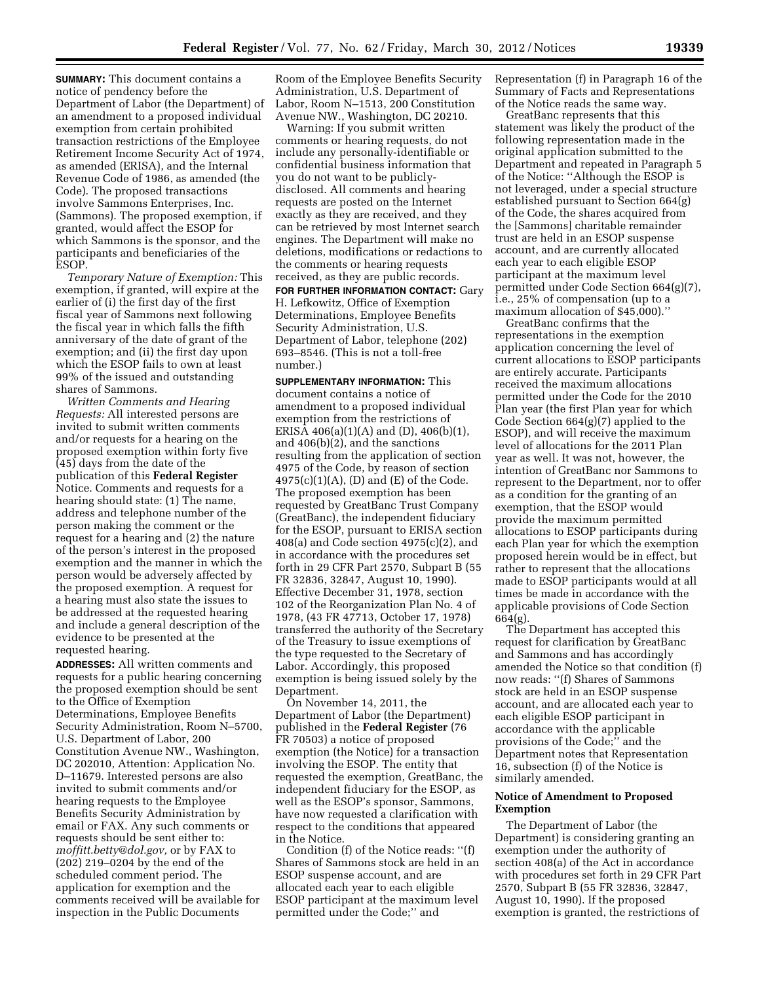**SUMMARY:** This document contains a notice of pendency before the Department of Labor (the Department) of an amendment to a proposed individual exemption from certain prohibited transaction restrictions of the Employee Retirement Income Security Act of 1974, as amended (ERISA), and the Internal Revenue Code of 1986, as amended (the Code). The proposed transactions involve Sammons Enterprises, Inc. (Sammons). The proposed exemption, if granted, would affect the ESOP for which Sammons is the sponsor, and the participants and beneficiaries of the ESOP.

*Temporary Nature of Exemption:* This exemption, if granted, will expire at the earlier of (i) the first day of the first fiscal year of Sammons next following the fiscal year in which falls the fifth anniversary of the date of grant of the exemption; and (ii) the first day upon which the ESOP fails to own at least 99% of the issued and outstanding shares of Sammons.

*Written Comments and Hearing Requests:* All interested persons are invited to submit written comments and/or requests for a hearing on the proposed exemption within forty five (45) days from the date of the publication of this **Federal Register**  Notice. Comments and requests for a hearing should state: (1) The name, address and telephone number of the person making the comment or the request for a hearing and (2) the nature of the person's interest in the proposed exemption and the manner in which the person would be adversely affected by the proposed exemption. A request for a hearing must also state the issues to be addressed at the requested hearing and include a general description of the evidence to be presented at the requested hearing.

**ADDRESSES:** All written comments and requests for a public hearing concerning the proposed exemption should be sent to the Office of Exemption Determinations, Employee Benefits Security Administration, Room N–5700, U.S. Department of Labor, 200 Constitution Avenue NW., Washington, DC 202010, Attention: Application No. D–11679. Interested persons are also invited to submit comments and/or hearing requests to the Employee Benefits Security Administration by email or FAX. Any such comments or requests should be sent either to: *[moffitt.betty@dol.gov,](mailto:moffitt.betty@dol.gov)* or by FAX to (202) 219–0204 by the end of the scheduled comment period. The application for exemption and the comments received will be available for inspection in the Public Documents

Room of the Employee Benefits Security Administration, U.S. Department of Labor, Room N–1513, 200 Constitution Avenue NW., Washington, DC 20210.

Warning: If you submit written comments or hearing requests, do not include any personally-identifiable or confidential business information that you do not want to be publiclydisclosed. All comments and hearing requests are posted on the Internet exactly as they are received, and they can be retrieved by most Internet search engines. The Department will make no deletions, modifications or redactions to the comments or hearing requests received, as they are public records.

**FOR FURTHER INFORMATION CONTACT:** Gary H. Lefkowitz, Office of Exemption Determinations, Employee Benefits Security Administration, U.S. Department of Labor, telephone (202) 693–8546. (This is not a toll-free number.)

**SUPPLEMENTARY INFORMATION:** This document contains a notice of amendment to a proposed individual exemption from the restrictions of ERISA 406(a)(1)(A) and (D), 406(b)(1), and 406(b)(2), and the sanctions resulting from the application of section 4975 of the Code, by reason of section  $4975(c)(1)(A)$ , (D) and (E) of the Code. The proposed exemption has been requested by GreatBanc Trust Company (GreatBanc), the independent fiduciary for the ESOP, pursuant to ERISA section 408(a) and Code section 4975(c)(2), and in accordance with the procedures set forth in 29 CFR Part 2570, Subpart B (55 FR 32836, 32847, August 10, 1990). Effective December 31, 1978, section 102 of the Reorganization Plan No. 4 of 1978, (43 FR 47713, October 17, 1978) transferred the authority of the Secretary of the Treasury to issue exemptions of the type requested to the Secretary of Labor. Accordingly, this proposed exemption is being issued solely by the Department.

On November 14, 2011, the Department of Labor (the Department) published in the **Federal Register** (76 FR 70503) a notice of proposed exemption (the Notice) for a transaction involving the ESOP. The entity that requested the exemption, GreatBanc, the independent fiduciary for the ESOP, as well as the ESOP's sponsor, Sammons, have now requested a clarification with respect to the conditions that appeared in the Notice.

Condition (f) of the Notice reads: ''(f) Shares of Sammons stock are held in an ESOP suspense account, and are allocated each year to each eligible ESOP participant at the maximum level permitted under the Code;'' and

Representation (f) in Paragraph 16 of the Summary of Facts and Representations of the Notice reads the same way.

GreatBanc represents that this statement was likely the product of the following representation made in the original application submitted to the Department and repeated in Paragraph 5 of the Notice: ''Although the ESOP is not leveraged, under a special structure established pursuant to Section 664(g) of the Code, the shares acquired from the [Sammons] charitable remainder trust are held in an ESOP suspense account, and are currently allocated each year to each eligible ESOP participant at the maximum level permitted under Code Section 664(g)(7), i.e., 25% of compensation (up to a maximum allocation of \$45,000).''

GreatBanc confirms that the representations in the exemption application concerning the level of current allocations to ESOP participants are entirely accurate. Participants received the maximum allocations permitted under the Code for the 2010 Plan year (the first Plan year for which Code Section 664(g)(7) applied to the ESOP), and will receive the maximum level of allocations for the 2011 Plan year as well. It was not, however, the intention of GreatBanc nor Sammons to represent to the Department, nor to offer as a condition for the granting of an exemption, that the ESOP would provide the maximum permitted allocations to ESOP participants during each Plan year for which the exemption proposed herein would be in effect, but rather to represent that the allocations made to ESOP participants would at all times be made in accordance with the applicable provisions of Code Section 664(g).

The Department has accepted this request for clarification by GreatBanc and Sammons and has accordingly amended the Notice so that condition (f) now reads: ''(f) Shares of Sammons stock are held in an ESOP suspense account, and are allocated each year to each eligible ESOP participant in accordance with the applicable provisions of the Code;'' and the Department notes that Representation 16, subsection (f) of the Notice is similarly amended.

#### **Notice of Amendment to Proposed Exemption**

The Department of Labor (the Department) is considering granting an exemption under the authority of section 408(a) of the Act in accordance with procedures set forth in 29 CFR Part 2570, Subpart B (55 FR 32836, 32847, August 10, 1990). If the proposed exemption is granted, the restrictions of